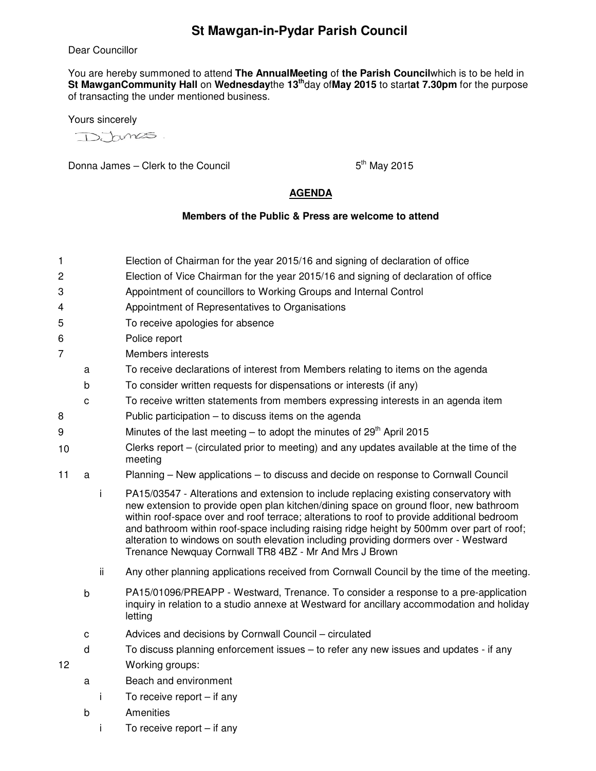## **St Mawgan-in-Pydar Parish Council**

Dear Councillor

You are hereby summoned to attend **The AnnualMeeting** of **the Parish Council**which is to be held in **St MawganCommunity Hall** on **Wednesday**the **13th**day of**May 2015** to start**at 7.30pm** for the purpose of transacting the under mentioned business.

Yours sincerely

D. Funcs.

Donna James – Clerk to the Council  $5<sup>th</sup>$  May 2015

## **AGENDA**

## **Members of the Public & Press are welcome to attend**

- 1 Election of Chairman for the year 2015/16 and signing of declaration of office
- 2 Election of Vice Chairman for the year 2015/16 and signing of declaration of office
- 3 Appointment of councillors to Working Groups and Internal Control
- 4 Appointment of Representatives to Organisations
- 5 To receive apologies for absence
- 6 Police report
- 7 Members interests
	- a To receive declarations of interest from Members relating to items on the agenda
	- b To consider written requests for dispensations or interests (if any)
- c To receive written statements from members expressing interests in an agenda item
- 8 Public participation to discuss items on the agenda
- 9 Minutes of the last meeting  $-$  to adopt the minutes of  $29<sup>th</sup>$  April 2015
- 10 Clerks report – (circulated prior to meeting) and any updates available at the time of the meeting
- 11 a Planning New applications to discuss and decide on response to Cornwall Council
	- i PA15/03547 Alterations and extension to include replacing existing conservatory with new extension to provide open plan kitchen/dining space on ground floor, new bathroom within roof-space over and roof terrace; alterations to roof to provide additional bedroom and bathroom within roof-space including raising ridge height by 500mm over part of roof; alteration to windows on south elevation including providing dormers over - Westward Trenance Newquay Cornwall TR8 4BZ - Mr And Mrs J Brown
	- ii Any other planning applications received from Cornwall Council by the time of the meeting.
	- b PA15/01096/PREAPP Westward, Trenance. To consider a response to a pre-application inquiry in relation to a studio annexe at Westward for ancillary accommodation and holiday letting
	- c Advices and decisions by Cornwall Council circulated
	- d To discuss planning enforcement issues to refer any new issues and updates if any
- 12 Working groups:
	- a Beach and environment
		- i To receive report if any
	- b Amenities
		- i To receive report if any